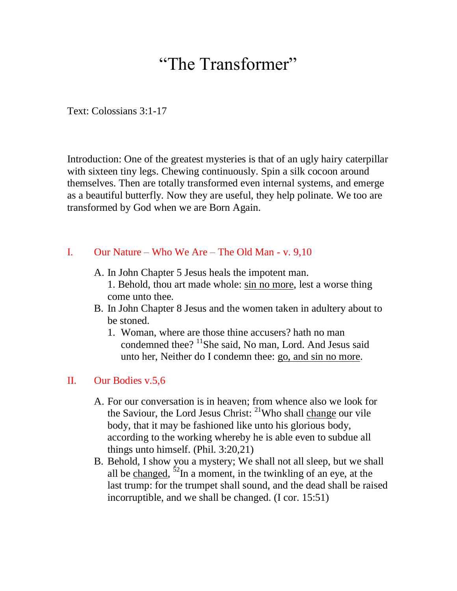# "The Transformer"

Text: Colossians 3:1-17

Introduction: One of the greatest mysteries is that of an ugly hairy caterpillar with sixteen tiny legs. Chewing continuously. Spin a silk cocoon around themselves. Then are totally transformed even internal systems, and emerge as a beautiful butterfly. Now they are useful, they help polinate. We too are transformed by God when we are Born Again.

## I. Our Nature – Who We Are – The Old Man - v. 9,10

- A. In John Chapter 5 Jesus heals the impotent man.
	- 1. Behold, thou art made whole: sin no more, lest a worse thing come unto thee.
- B. In John Chapter 8 Jesus and the women taken in adultery about to be stoned.
	- 1. Woman, where are those thine accusers? hath no man condemned thee?  $\frac{11}{1}$ She said, No man, Lord. And Jesus said unto her, Neither do I condemn thee: go, and sin no more.

# II. Our Bodies v.5,6

- A. For our conversation is in heaven; from whence also we look for the Saviour, the Lord Jesus Christ: <sup>21</sup>Who shall change our vile body, that it may be fashioned like unto his glorious body, according to the working whereby he is able even to subdue all things unto himself. (Phil. 3:20,21)
- B. Behold, I show you a mystery; We shall not all sleep, but we shall all be changed,  $52$ In a moment, in the twinkling of an eye, at the last trump: for the trumpet shall sound, and the dead shall be raised incorruptible, and we shall be changed. (I cor. 15:51)